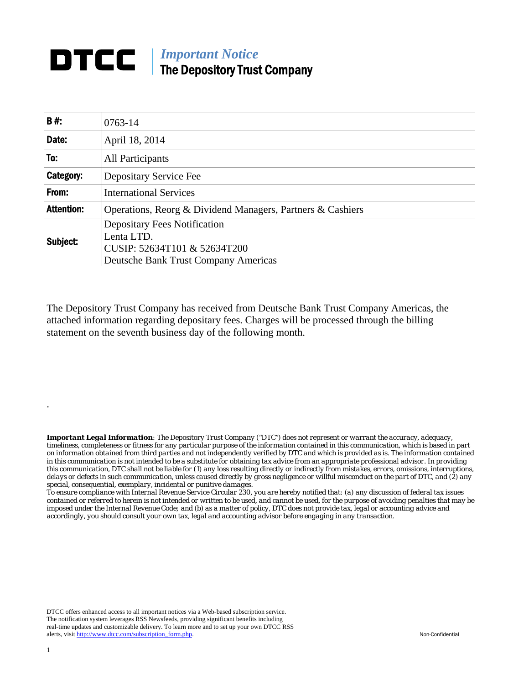## **DTCC** | *Important Notice* The Depository Trust Company

| <b>B#:</b>        | $0763 - 14$                                                |  |  |  |  |  |
|-------------------|------------------------------------------------------------|--|--|--|--|--|
| Date:             | April 18, 2014                                             |  |  |  |  |  |
| To:               | All Participants                                           |  |  |  |  |  |
| Category:         | Depositary Service Fee                                     |  |  |  |  |  |
| From:             | <b>International Services</b>                              |  |  |  |  |  |
| <b>Attention:</b> | Operations, Reorg & Dividend Managers, Partners & Cashiers |  |  |  |  |  |
| Subject:          | <b>Depositary Fees Notification</b><br>Lenta LTD.          |  |  |  |  |  |
|                   | CUSIP: 52634T101 & 52634T200                               |  |  |  |  |  |
|                   | <b>Deutsche Bank Trust Company Americas</b>                |  |  |  |  |  |

The Depository Trust Company has received from Deutsche Bank Trust Company Americas, the attached information regarding depositary fees. Charges will be processed through the billing statement on the seventh business day of the following month.

*Important Legal Information: The Depository Trust Company ("DTC") does not represent or warrant the accuracy, adequacy, timeliness, completeness or fitness for any particular purpose of the information contained in this communication, which is based in part on information obtained from third parties and not independently verified by DTC and which is provided as is. The information contained in this communication is not intended to be a substitute for obtaining tax advice from an appropriate professional advisor. In providing this communication, DTC shall not be liable for (1) any loss resulting directly or indirectly from mistakes, errors, omissions, interruptions, delays or defects in such communication, unless caused directly by gross negligence or willful misconduct on the part of DTC, and (2) any special, consequential, exemplary, incidental or punitive damages.* 

*To ensure compliance with Internal Revenue Service Circular 230, you are hereby notified that: (a) any discussion of federal tax issues contained or referred to herein is not intended or written to be used, and cannot be used, for the purpose of avoiding penalties that may be imposed under the Internal Revenue Code; and (b) as a matter of policy, DTC does not provide tax, legal or accounting advice and accordingly, you should consult your own tax, legal and accounting advisor before engaging in any transaction.*

DTCC offers enhanced access to all important notices via a Web-based subscription service. The notification system leverages RSS Newsfeeds, providing significant benefits including real-time updates and customizable delivery. To learn more and to set up your own DTCC RSS alerts, visit http://www.dtcc.com/subscription\_form.php. Non-Confidential

.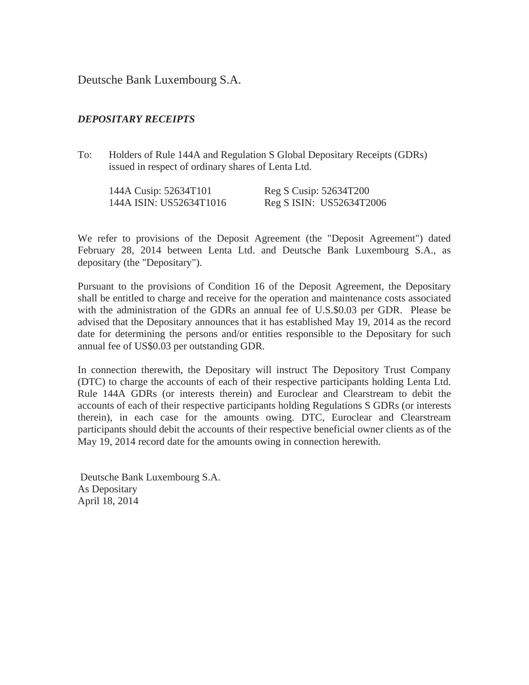Deutsche Bank Luxembourg S.A.

## *DEPOSITARY RECEIPTS*

To: Holders of Rule 144A and Regulation S Global Depositary Receipts (GDRs) issued in respect of ordinary shares of Lenta Ltd.

| 144A Cusip: 52634T101   | Reg S Cusip: 52634T200   |
|-------------------------|--------------------------|
| 144A ISIN: US52634T1016 | Reg S ISIN: US52634T2006 |

We refer to provisions of the Deposit Agreement (the "Deposit Agreement") dated February 28, 2014 between Lenta Ltd. and Deutsche Bank Luxembourg S.A., as depositary (the "Depositary").

Pursuant to the provisions of Condition 16 of the Deposit Agreement, the Depositary shall be entitled to charge and receive for the operation and maintenance costs associated with the administration of the GDRs an annual fee of U.S.\$0.03 per GDR. Please be advised that the Depositary announces that it has established May 19, 2014 as the record date for determining the persons and/or entities responsible to the Depositary for such annual fee of US\$0.03 per outstanding GDR.

In connection therewith, the Depositary will instruct The Depository Trust Company (DTC) to charge the accounts of each of their respective participants holding Lenta Ltd. Rule 144A GDRs (or interests therein) and Euroclear and Clearstream to debit the accounts of each of their respective participants holding Regulations S GDRs (or interests therein), in each case for the amounts owing. DTC, Euroclear and Clearstream participants should debit the accounts of their respective beneficial owner clients as of the May 19, 2014 record date for the amounts owing in connection herewith.

 Deutsche Bank Luxembourg S.A. As Depositary April 18, 2014